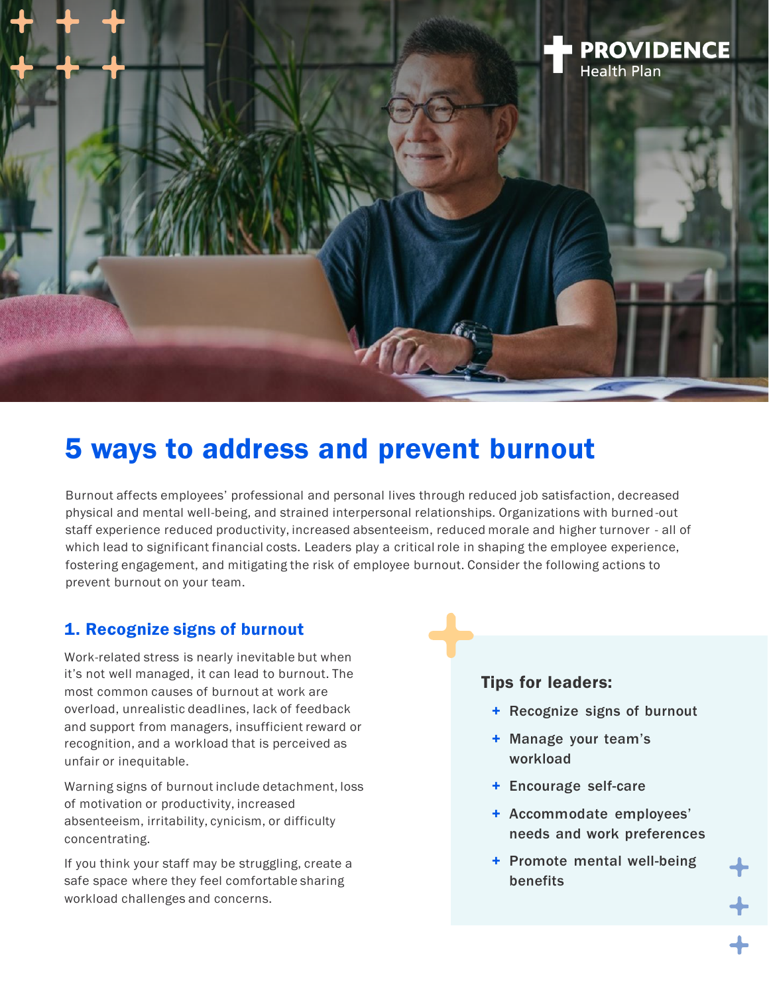

# 5 ways to address and prevent burnout

Burnout affects employees' professional and personal lives through reduced job satisfaction, decreased physical and mental well-being, and strained interpersonal relationships. Organizations with burned-out staff experience reduced productivity, increased absenteeism, reduced morale and higher turnover - all of which lead to significant financial costs. Leaders play a critical role in shaping the employee experience, fostering engagement, and mitigating the risk of employee burnout. Consider the following actions to prevent burnout on your team.

# 1. Recognize signs of burnout

Work-related stress is nearly inevitable but when it's not well managed, it can lead to burnout. The most common causes of burnout at work are overload, unrealistic deadlines, lack of feedback and support from managers, insufficient reward or recognition, and a workload that is perceived as unfair or inequitable.

Warning signs of burnout include detachment, loss of motivation or productivity, increased absenteeism, irritability, cynicism, or difficulty concentrating.

If you think your staff may be struggling, create a safe space where they feel comfortable sharing workload challenges and concerns.

# Tips for leaders:

- + Recognize signs of burnout
- + Manage your team's workload
- + Encourage self-care
- + Accommodate employees' needs and work preferences
- + Promote mental well-being benefits